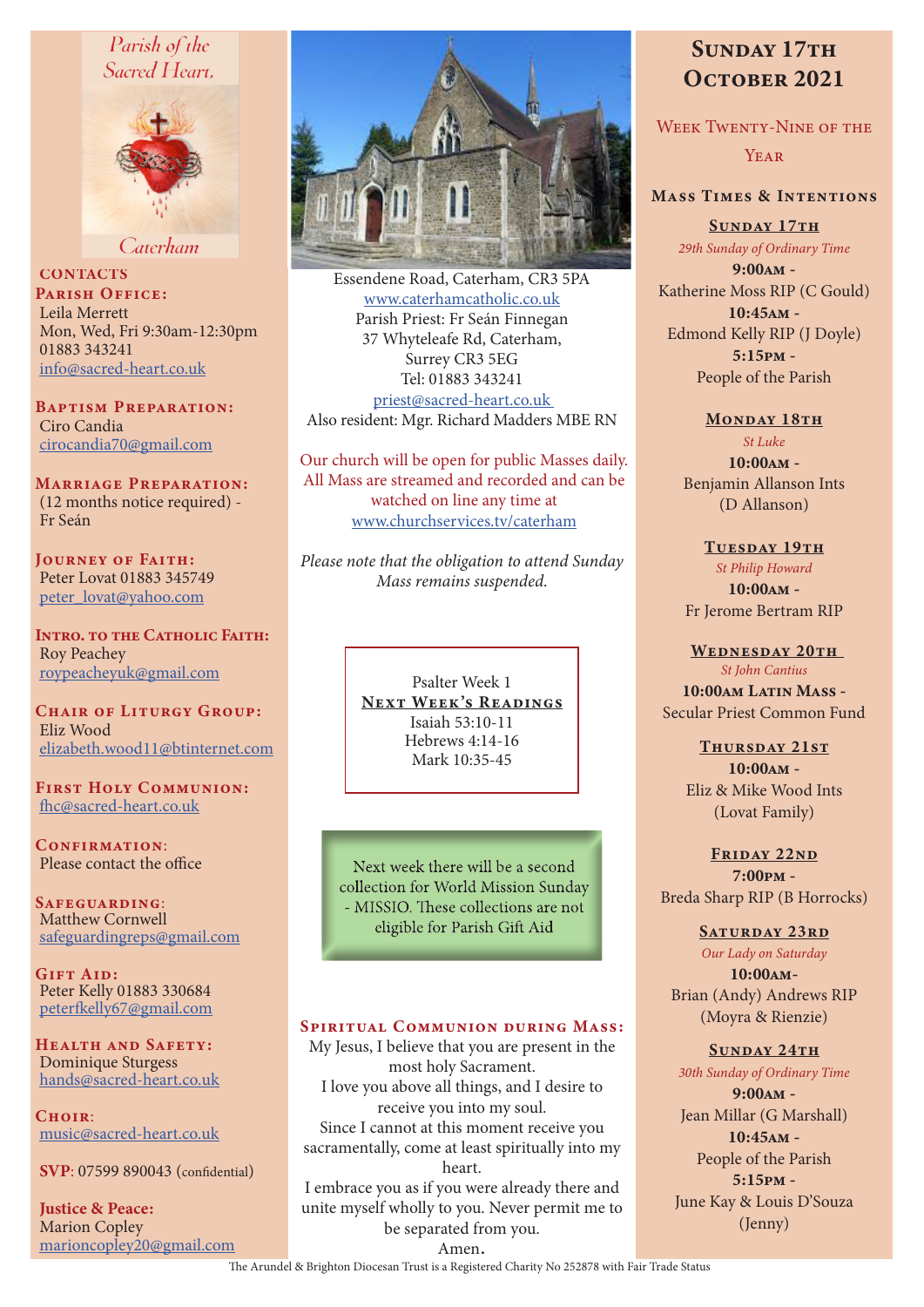# Parish of the Sacred Heart,



Caterham

**CONTACTS** PARISH OFFICE: Leila Merrett Mon, Wed, Fri 9:30am-12:30pm 01883 343241 info@sacred-heart.co.uk

Baptism Preparation: Ciro Candia cirocandia70@gmail.com

Marriage Preparation: (12 months notice required) - Fr Seán

Journey of Faith: Peter Lovat 01883 345749 peter\_lovat@yahoo.com

Intro. to the Catholic Faith: Roy Peachey roypeacheyuk@gmail.com

CHAIR OF LITURGY GROUP: Eliz Wood elizabeth.wood11@btinternet.com

First Holy Communion: fhc@sacred-heart.co.uk

CONFIRMATION: Please contact the office

Safeguarding: Matthew Cornwell safeguardingreps@gmail.com

GIFT AID: Peter Kelly 01883 330684 peterfkelly67@gmail.com

HEALTH AND SAFETY: Dominique Sturgess hands@sacred-heart.co.uk

 $C$ HOIR: music@sacred-heart.co.uk

SVP: 07599 890043 (confidential)

Justice & Peace: Marion Copley marioncopley20@gmail.com



Essendene Road, Caterham, CR3 5PA www.caterhamcatholic.co.uk Parish Priest: Fr Seán Finnegan 37 Whyteleafe Rd, Caterham, Surrey CR3 5EG Tel: 01883 343241 priest@sacred-heart.co.uk Also resident: Mgr. Richard Madders MBE RN

Our church will be open for public Masses daily. All Mass are streamed and recorded and can be watched on line any time at www.churchservices.tv/caterham

*Please note that the obligation to attend Sunday Mass remains suspended.*

> Psalter Week 1 NEXT WEEK'S READINGS Isaiah 53:10-11 Hebrews 4:14-16 Mark 10:35-45

Next week there will be a second collection for World Mission Sunday - MISSIO. These collections are not eligible for Parish Gift Aid

### SPIRITUAL COMMUNION DURING MASS:

My Jesus, I believe that you are present in the most holy Sacrament. I love you above all things, and I desire to receive you into my soul. Since I cannot at this moment receive you sacramentally, come at least spiritually into my heart. I embrace you as if you were already there and

unite myself wholly to you. Never permit me to be separated from you.

# SUNDAY 17TH OCTOBER 2021

WEEK TWENTY-NINE OF THE **YEAR** 

# Mass Times & Intentions

SUNDAY 17TH *29th Sunday of Ordinary Time*

9:00am - Katherine Moss RIP (C Gould) 10:45am - Edmond Kelly RIP (J Doyle) 5:15pm - People of the Parish

#### MONDAY 18TH

*St Luke* 10:00am - Benjamin Allanson Ints (D Allanson)

TUESDAY 19TH *St Philip Howard* 10:00am - Fr Jerome Bertram RIP

WEDNESDAY 20TH *St John Cantius* 10:00am Latin Mass - Secular Priest Common Fund

> Thursday 21st  $10:00$  $\Delta M -$ Eliz & Mike Wood Ints (Lovat Family)

FRIDAY 22ND 7:00pm - Breda Sharp RIP (B Horrocks)

SATURDAY 23RD *Our Lady on Saturday* 10:00am-Brian (Andy) Andrews RIP (Moyra & Rienzie)

#### SUNDAY 24TH

*30th Sunday of Ordinary Time* 9:00am - Jean Millar (G Marshall) 10:45am - People of the Parish 5:15pm - June Kay & Louis D'Souza (Jenny)

Amen.

The Arundel & Brighton Diocesan Trust is a Registered Charity No 252878 with Fair Trade Status